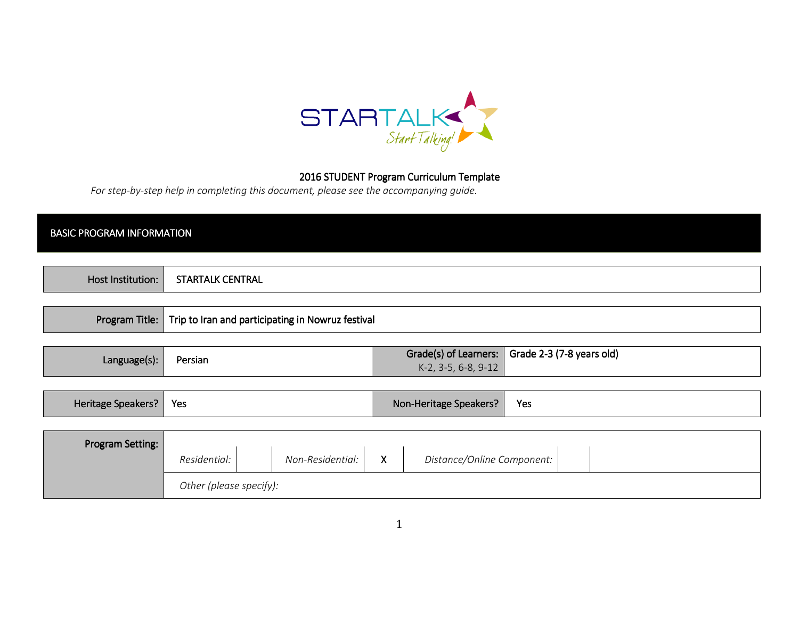

## 2016 STUDENT Program Curriculum Template

For step-by-step help in completing this document, please see the accompanying guide.

| .<br>'I KAL<br>ьM<br>AГ<br>. |
|------------------------------|
|                              |
|                              |

|  | Program Title:   Trip to Iran and participating in Nowruz festival |
|--|--------------------------------------------------------------------|
|--|--------------------------------------------------------------------|

| Language(s): | Persian | $K-2$ , 3-5, 6-8, 9-12 | Grade(s) of Learners:   Grade 2-3 (7-8 years old) |
|--------------|---------|------------------------|---------------------------------------------------|
|              |         |                        |                                                   |

|  | Heritage Speakers? | Yes | Non-Heritage Speakers? | Yes |
|--|--------------------|-----|------------------------|-----|
|--|--------------------|-----|------------------------|-----|

| Program Setting: |                                                                     |  |  |  |  |  |
|------------------|---------------------------------------------------------------------|--|--|--|--|--|
|                  | Non-Residential:<br>X<br>Distance/Online Component:<br>Residential: |  |  |  |  |  |
|                  | Other (please specify):                                             |  |  |  |  |  |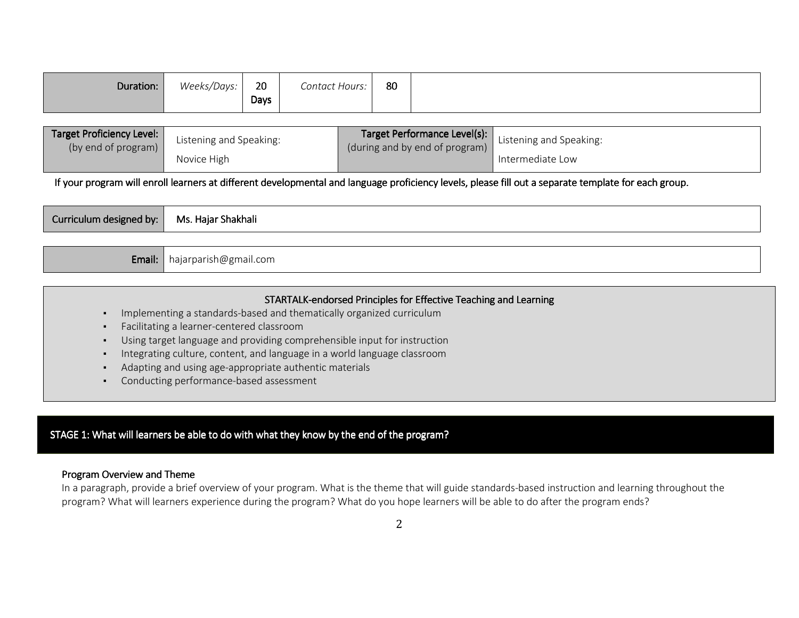|  | 80 | Contact Hours: | 20<br>Days | Weeks/Days: | Duration: |
|--|----|----------------|------------|-------------|-----------|
|--|----|----------------|------------|-------------|-----------|

| Target Proficiency Level:<br>(by end of program) | Listening and Speaking: | (during and by end of program) | <b>Target Performance Level(s):</b> Listening and Speaking: |
|--------------------------------------------------|-------------------------|--------------------------------|-------------------------------------------------------------|
|                                                  | Novice High             |                                | Intermediate Low                                            |

If your program will enroll learners at different developmental and language proficiency levels, please fill out a separate template for each group.

| .<br>Ms.<br>Curriculum designed<br>l bv:<br>. Haiar Shakhali |
|--------------------------------------------------------------|
|--------------------------------------------------------------|

| <b>Email:</b> hajarparish@gmail.com |  |
|-------------------------------------|--|
|-------------------------------------|--|

# STARTALK-endorsed Principles for Effective Teaching and Learning

- ▪Implementing a standards-based and thematically organized curriculum
- ▪Facilitating a learner-centered classroom
- ▪Using target language and providing comprehensible input for instruction
- ▪Integrating culture, content, and language in a world language classroom
- ▪Adapting and using age-appropriate authentic materials
- Conducting performance-based assessment

## STAGE 1: What will learners be able to do with what they know by the end of the program?

#### Program Overview and Theme

 In a paragraph, provide a brief overview of your program. What is the theme that will guide standards-based instruction and learning throughout the program? What will learners experience during the program? What do you hope learners will be able to do after the program ends?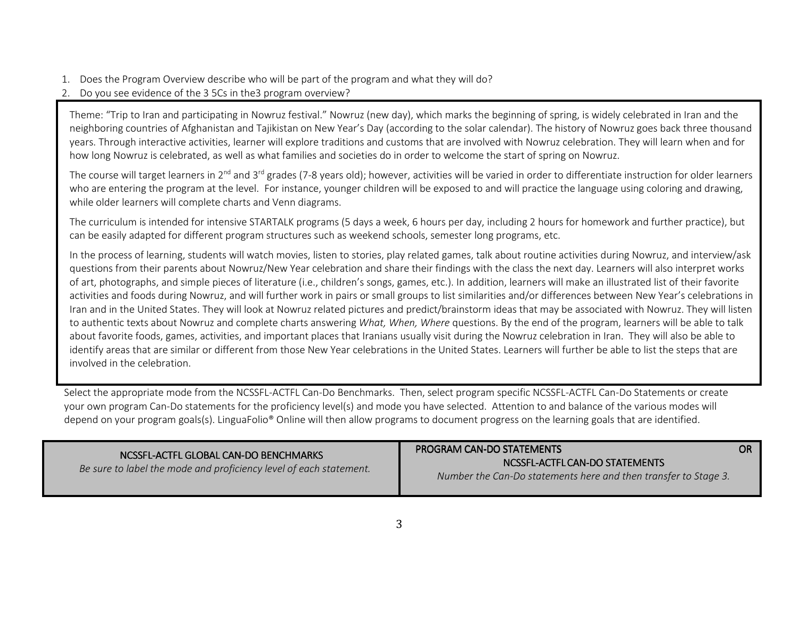- 1. Does the Program Overview describe who will be part of the program and what they will do?
- 2. Do you see evidence of the 3 5Cs in the3 program overview?

Theme: "Trip to Iran and participating in Nowruz festival." Nowruz (new day), which marks the beginning of spring, is widely celebrated in Iran and the neighboring countries of Afghanistan and Tajikistan on New Year's Day (according to the solar calendar). The history of Nowruz goes back three thousand years. Through interactive activities, learner will explore traditions and customs that are involved with Nowruz celebration. They will learn when and for how long Nowruz is celebrated, as well as what families and societies do in order to welcome the start of spring on Nowruz.

The course will target learners in 2<sup>nd</sup> and 3<sup>rd</sup> grades (7-8 years old); however, activities will be varied in order to differentiate instruction for older learners who are entering the program at the level. For instance, younger children will be exposed to and will practice the language using coloring and drawing, while older learners will complete charts and Venn diagrams.

The curriculum is intended for intensive STARTALK programs (5 days a week, 6 hours per day, including 2 hours for homework and further practice), but can be easily adapted for different program structures such as weekend schools, semester long programs, etc.

In the process of learning, students will watch movies, listen to stories, play related games, talk about routine activities during Nowruz, and interview/ask questions from their parents about Nowruz/New Year celebration and share their findings with the class the next day. Learners will also interpret works of art, photographs, and simple pieces of literature (i.e., children's songs, games, etc.). In addition, learners will make an illustrated list of their favorite activities and foods during Nowruz, and will further work in pairs or small groups to list similarities and/or differences between New Year's celebrations in Iran and in the United States. They will look at Nowruz related pictures and predict/brainstorm ideas that may be associated with Nowruz. They will listen to authentic texts about Nowruz and complete charts answering What, When, Where questions. By the end of the program, learners will be able to talk about favorite foods, games, activities, and important places that Iranians usually visit during the Nowruz celebration in Iran. They will also be able to identify areas that are similar or different from those New Year celebrations in the United States. Learners will further be able to list the steps that are involved in the celebration.

Select the appropriate mode from the NCSSFL-ACTFL Can-Do Benchmarks. Then, select program specific NCSSFL-ACTFL Can-Do Statements or create your own program Can-Do statements for the proficiency level(s) and mode you have selected. Attention to and balance of the various modes will depend on your program goals(s). LinguaFolio® Online will then allow programs to document progress on the learning goals that are identified.

| NCSSEL-ACTEL GLOBAL CAN-DO BENCHMARKS                              | <b>PROGRAM CAN-DO STATEMENTS</b>                                                                  | OR I |
|--------------------------------------------------------------------|---------------------------------------------------------------------------------------------------|------|
| Be sure to label the mode and proficiency level of each statement. | NCSSFL-ACTFL CAN-DO STATEMENTS<br>Number the Can-Do statements here and then transfer to Stage 3. |      |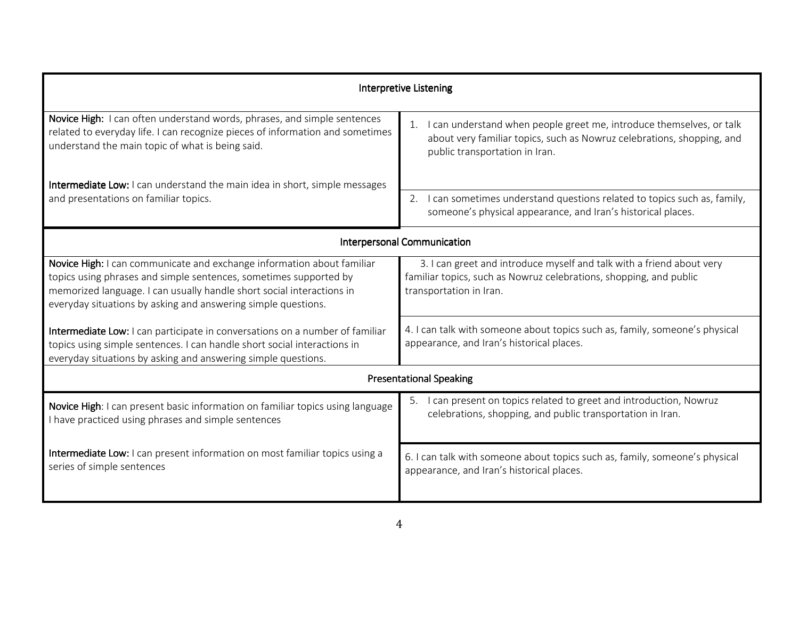| <b>Interpretive Listening</b>                                                                                                                                                                                                                                                         |                                                                                                                                                                                        |  |  |  |
|---------------------------------------------------------------------------------------------------------------------------------------------------------------------------------------------------------------------------------------------------------------------------------------|----------------------------------------------------------------------------------------------------------------------------------------------------------------------------------------|--|--|--|
| Novice High: I can often understand words, phrases, and simple sentences<br>related to everyday life. I can recognize pieces of information and sometimes<br>understand the main topic of what is being said.                                                                         | I can understand when people greet me, introduce themselves, or talk<br>1.<br>about very familiar topics, such as Nowruz celebrations, shopping, and<br>public transportation in Iran. |  |  |  |
| Intermediate Low: I can understand the main idea in short, simple messages<br>and presentations on familiar topics.                                                                                                                                                                   | 2. I can sometimes understand questions related to topics such as, family,<br>someone's physical appearance, and Iran's historical places.                                             |  |  |  |
|                                                                                                                                                                                                                                                                                       | Interpersonal Communication                                                                                                                                                            |  |  |  |
| Novice High: I can communicate and exchange information about familiar<br>topics using phrases and simple sentences, sometimes supported by<br>memorized language. I can usually handle short social interactions in<br>everyday situations by asking and answering simple questions. | 3. I can greet and introduce myself and talk with a friend about very<br>familiar topics, such as Nowruz celebrations, shopping, and public<br>transportation in Iran.                 |  |  |  |
| Intermediate Low: I can participate in conversations on a number of familiar<br>topics using simple sentences. I can handle short social interactions in<br>everyday situations by asking and answering simple questions.                                                             | 4. I can talk with someone about topics such as, family, someone's physical<br>appearance, and Iran's historical places.                                                               |  |  |  |
| <b>Presentational Speaking</b>                                                                                                                                                                                                                                                        |                                                                                                                                                                                        |  |  |  |
| Novice High: I can present basic information on familiar topics using language<br>I have practiced using phrases and simple sentences                                                                                                                                                 | 5. I can present on topics related to greet and introduction, Nowruz<br>celebrations, shopping, and public transportation in Iran.                                                     |  |  |  |
| Intermediate Low: I can present information on most familiar topics using a<br>series of simple sentences                                                                                                                                                                             | 6. I can talk with someone about topics such as, family, someone's physical<br>appearance, and Iran's historical places.                                                               |  |  |  |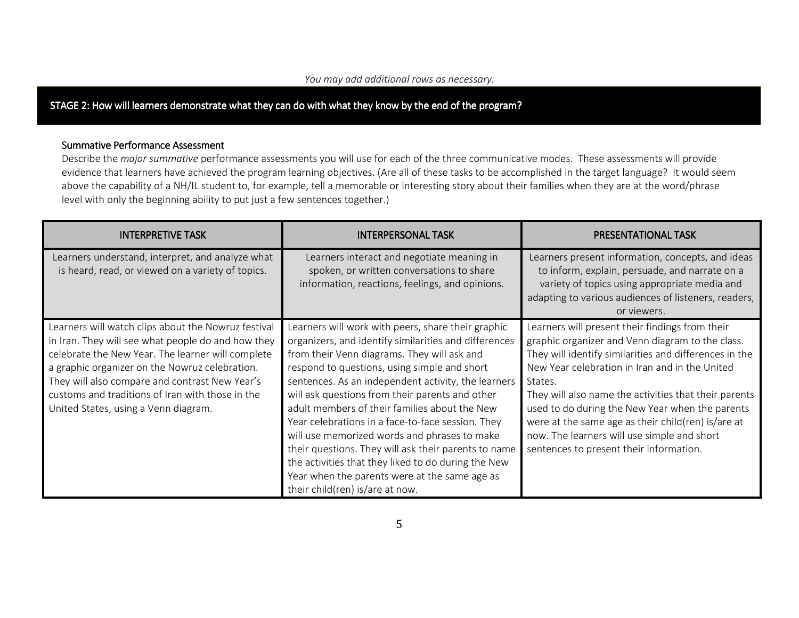#### You may add additional rows as necessary.

## STAGE 2: How will learners demonstrate what they can do with what they know by the end of the program?

#### Summative Performance Assessment

Describe the *major summative* performance assessments you will use for each of the three communicative modes. These assessments will provide evidence that learners have achieved the program learning objectives. (Are all of these tasks to be accomplished in the target language? It would seem above the capability of a NH/IL student to, for example, tell a memorable or interesting story about their families when they are at the word/phrase level with only the beginning ability to put just a few sentences together.)

| <b>INTERPRETIVE TASK</b>                                                                                                                                                                                                                                                                                                                                       | <b>INTERPERSONAL TASK</b>                                                                                                                                                                                                                                                                                                                                                                                                                                                                                                                                                                                                                                                     | <b>PRESENTATIONAL TASK</b>                                                                                                                                                                                                                                                                                                                                                                                                                                                             |
|----------------------------------------------------------------------------------------------------------------------------------------------------------------------------------------------------------------------------------------------------------------------------------------------------------------------------------------------------------------|-------------------------------------------------------------------------------------------------------------------------------------------------------------------------------------------------------------------------------------------------------------------------------------------------------------------------------------------------------------------------------------------------------------------------------------------------------------------------------------------------------------------------------------------------------------------------------------------------------------------------------------------------------------------------------|----------------------------------------------------------------------------------------------------------------------------------------------------------------------------------------------------------------------------------------------------------------------------------------------------------------------------------------------------------------------------------------------------------------------------------------------------------------------------------------|
| Learners understand, interpret, and analyze what<br>is heard, read, or viewed on a variety of topics.                                                                                                                                                                                                                                                          | Learners interact and negotiate meaning in<br>spoken, or written conversations to share<br>information, reactions, feelings, and opinions.                                                                                                                                                                                                                                                                                                                                                                                                                                                                                                                                    | Learners present information, concepts, and ideas<br>to inform, explain, persuade, and narrate on a<br>variety of topics using appropriate media and<br>adapting to various audiences of listeners, readers,<br>or viewers.                                                                                                                                                                                                                                                            |
| Learners will watch clips about the Nowruz festival<br>in Iran. They will see what people do and how they<br>celebrate the New Year. The learner will complete<br>a graphic organizer on the Nowruz celebration.<br>They will also compare and contrast New Year's<br>customs and traditions of Iran with those in the<br>United States, using a Venn diagram. | Learners will work with peers, share their graphic<br>organizers, and identify similarities and differences<br>from their Venn diagrams. They will ask and<br>respond to questions, using simple and short<br>sentences. As an independent activity, the learners<br>will ask questions from their parents and other<br>adult members of their families about the New<br>Year celebrations in a face-to-face session. They<br>will use memorized words and phrases to make<br>their questions. They will ask their parents to name<br>the activities that they liked to do during the New<br>Year when the parents were at the same age as<br>their child(ren) is/are at now. | Learners will present their findings from their<br>graphic organizer and Venn diagram to the class.<br>They will identify similarities and differences in the<br>New Year celebration in Iran and in the United<br>States.<br>They will also name the activities that their parents<br>used to do during the New Year when the parents<br>were at the same age as their child(ren) is/are at<br>now. The learners will use simple and short<br>sentences to present their information. |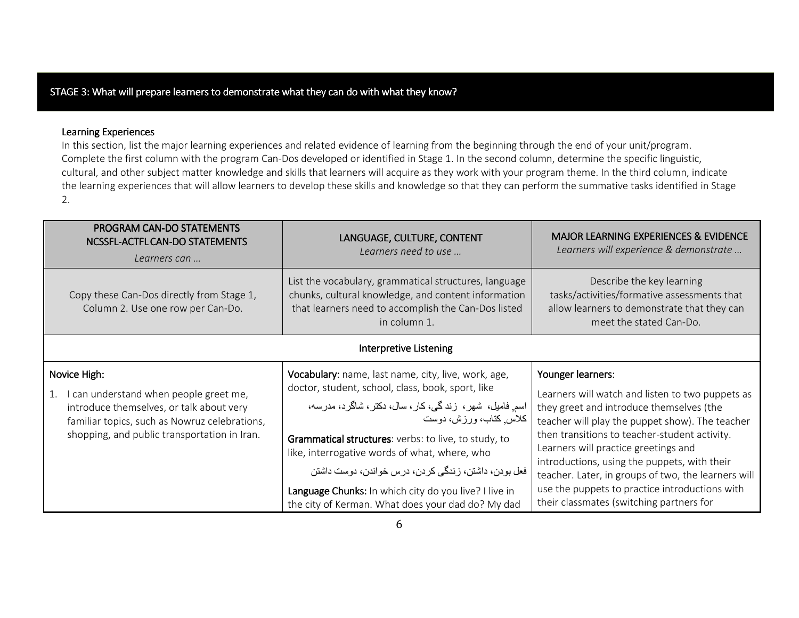## STAGE 3: What will prepare learners to demonstrate what they can do with what they know?

### Learning Experiences

 In this section, list the major learning experiences and related evidence of learning from the beginning through the end of your unit/program. Complete the first column with the program Can-Dos developed or identified in Stage 1. In the second column, determine the specific linguistic, cultural, and other subject matter knowledge and skills that learners will acquire as they work with your program theme. In the third column, indicate the learning experiences that will allow learners to develop these skills and knowledge so that they can perform the summative tasks identified in Stage 2.

| PROGRAM CAN-DO STATEMENTS<br>NCSSFL-ACTFL CAN-DO STATEMENTS<br>Learners can                                                                                                                               | LANGUAGE, CULTURE, CONTENT<br>Learners need to use                                                                                                                                                                                                                                                                                                                                                                                                                     | <b>MAJOR LEARNING EXPERIENCES &amp; EVIDENCE</b><br>Learners will experience & demonstrate                                                                                                                                                                                                                                                                                                                                                                         |
|-----------------------------------------------------------------------------------------------------------------------------------------------------------------------------------------------------------|------------------------------------------------------------------------------------------------------------------------------------------------------------------------------------------------------------------------------------------------------------------------------------------------------------------------------------------------------------------------------------------------------------------------------------------------------------------------|--------------------------------------------------------------------------------------------------------------------------------------------------------------------------------------------------------------------------------------------------------------------------------------------------------------------------------------------------------------------------------------------------------------------------------------------------------------------|
| Copy these Can-Dos directly from Stage 1,<br>Column 2. Use one row per Can-Do.                                                                                                                            | List the vocabulary, grammatical structures, language<br>chunks, cultural knowledge, and content information<br>that learners need to accomplish the Can-Dos listed<br>in column 1.                                                                                                                                                                                                                                                                                    | Describe the key learning<br>tasks/activities/formative assessments that<br>allow learners to demonstrate that they can<br>meet the stated Can-Do.                                                                                                                                                                                                                                                                                                                 |
|                                                                                                                                                                                                           | <b>Interpretive Listening</b>                                                                                                                                                                                                                                                                                                                                                                                                                                          |                                                                                                                                                                                                                                                                                                                                                                                                                                                                    |
| Novice High:<br>I can understand when people greet me,<br>1.<br>introduce themselves, or talk about very<br>familiar topics, such as Nowruz celebrations,<br>shopping, and public transportation in Iran. | Vocabulary: name, last name, city, live, work, age,<br>doctor, student, school, class, book, sport, like<br>اسم فامیل، شهر، زندگی،کار، سال، دکتر، شاگرد، مدرسه،<br>كلاس كتاب، ورزش، دوست<br>Grammatical structures: verbs: to live, to study, to<br>like, interrogative words of what, where, who<br>فعل بودن، داشتن، زندگی کردن، درس خواندن، دوست داشتن<br>Language Chunks: In which city do you live? I live in<br>the city of Kerman. What does your dad do? My dad | Younger learners:<br>Learners will watch and listen to two puppets as<br>they greet and introduce themselves (the<br>teacher will play the puppet show). The teacher<br>then transitions to teacher-student activity.<br>Learners will practice greetings and<br>introductions, using the puppets, with their<br>teacher. Later, in groups of two, the learners will<br>use the puppets to practice introductions with<br>their classmates (switching partners for |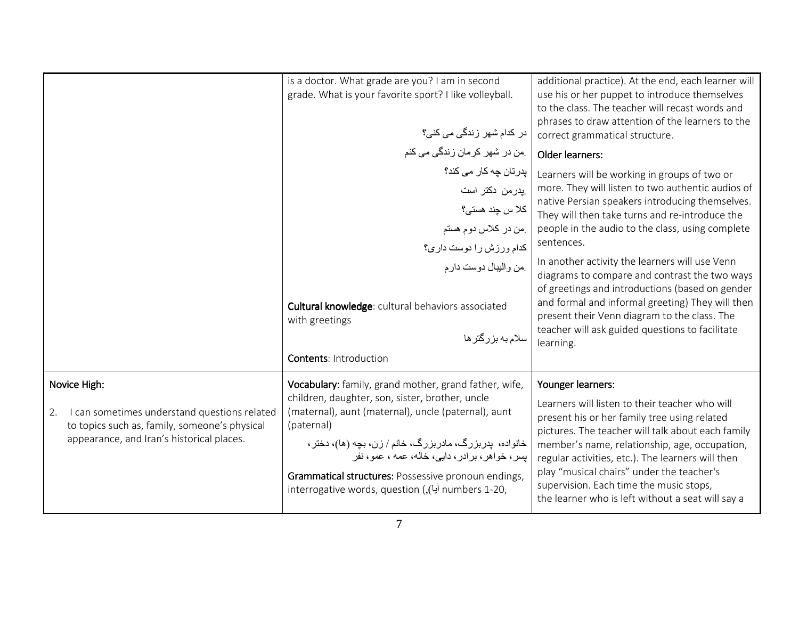| grade. What is your favorite sport? I like volleyball.<br>use his or her puppet to introduce themselves<br>to the class. The teacher will recast words and<br>phrases to draw attention of the learners to the<br>در کدام شھر زندگ <i>ی می</i> کن <i>ی؟</i><br>correct grammatical structure.<br>ِمن در شهر كرمان زندگى مى كنم<br>Older learners:<br>پدرتان چه کار می کند؟<br>Learners will be working in groups of two or<br>more. They will listen to two authentic audios of<br>پدر من دکتر است<br>native Persian speakers introducing themselves.<br>كلا س چند هستى؟<br>They will then take turns and re-introduce the<br>people in the audio to the class, using complete<br>من در كلاس دوم هستم<br>sentences.<br>كدام ورزش را دوست دارى؟<br>In another activity the learners will use Venn<br>من واليبال دوست دارم<br>diagrams to compare and contrast the two ways<br>of greetings and introductions (based on gender<br>and formal and informal greeting) They will then<br>Cultural knowledge: cultural behaviors associated<br>present their Venn diagram to the class. The<br>with greetings<br>teacher will ask guided questions to facilitate<br>سلام به بزرگتر ها<br>learning.<br><b>Contents: Introduction</b><br>Vocabulary: family, grand mother, grand father, wife,<br>Younger learners:<br>Novice High:<br>children, daughter, son, sister, brother, uncle<br>Learners will listen to their teacher who will<br>(maternal), aunt (maternal), uncle (paternal), aunt<br>I can sometimes understand questions related<br>2.<br>present his or her family tree using related<br>to topics such as, family, someone's physical<br>(paternal)<br>pictures. The teacher will talk about each family<br>appearance, and Iran's historical places.<br>خانواده، پدربزرگ، مادربزرگ، خانم / زن، بچه (ها)، دختر ،<br>member's name, relationship, age, occupation,<br>بسر ، خواهر ، بر ادر ، دایی، خاله، عمه ، عمو ، نفر<br>regular activities, etc.). The learners will then | is a doctor. What grade are you? I am in second | additional practice). At the end, each learner will |
|---------------------------------------------------------------------------------------------------------------------------------------------------------------------------------------------------------------------------------------------------------------------------------------------------------------------------------------------------------------------------------------------------------------------------------------------------------------------------------------------------------------------------------------------------------------------------------------------------------------------------------------------------------------------------------------------------------------------------------------------------------------------------------------------------------------------------------------------------------------------------------------------------------------------------------------------------------------------------------------------------------------------------------------------------------------------------------------------------------------------------------------------------------------------------------------------------------------------------------------------------------------------------------------------------------------------------------------------------------------------------------------------------------------------------------------------------------------------------------------------------------------------------------------------------------------------------------------------------------------------------------------------------------------------------------------------------------------------------------------------------------------------------------------------------------------------------------------------------------------------------------------------------------------------------------------------------------------------------------------|-------------------------------------------------|-----------------------------------------------------|
|                                                                                                                                                                                                                                                                                                                                                                                                                                                                                                                                                                                                                                                                                                                                                                                                                                                                                                                                                                                                                                                                                                                                                                                                                                                                                                                                                                                                                                                                                                                                                                                                                                                                                                                                                                                                                                                                                                                                                                                       |                                                 |                                                     |
|                                                                                                                                                                                                                                                                                                                                                                                                                                                                                                                                                                                                                                                                                                                                                                                                                                                                                                                                                                                                                                                                                                                                                                                                                                                                                                                                                                                                                                                                                                                                                                                                                                                                                                                                                                                                                                                                                                                                                                                       |                                                 |                                                     |
|                                                                                                                                                                                                                                                                                                                                                                                                                                                                                                                                                                                                                                                                                                                                                                                                                                                                                                                                                                                                                                                                                                                                                                                                                                                                                                                                                                                                                                                                                                                                                                                                                                                                                                                                                                                                                                                                                                                                                                                       |                                                 |                                                     |
|                                                                                                                                                                                                                                                                                                                                                                                                                                                                                                                                                                                                                                                                                                                                                                                                                                                                                                                                                                                                                                                                                                                                                                                                                                                                                                                                                                                                                                                                                                                                                                                                                                                                                                                                                                                                                                                                                                                                                                                       |                                                 |                                                     |
|                                                                                                                                                                                                                                                                                                                                                                                                                                                                                                                                                                                                                                                                                                                                                                                                                                                                                                                                                                                                                                                                                                                                                                                                                                                                                                                                                                                                                                                                                                                                                                                                                                                                                                                                                                                                                                                                                                                                                                                       |                                                 |                                                     |
|                                                                                                                                                                                                                                                                                                                                                                                                                                                                                                                                                                                                                                                                                                                                                                                                                                                                                                                                                                                                                                                                                                                                                                                                                                                                                                                                                                                                                                                                                                                                                                                                                                                                                                                                                                                                                                                                                                                                                                                       |                                                 |                                                     |
|                                                                                                                                                                                                                                                                                                                                                                                                                                                                                                                                                                                                                                                                                                                                                                                                                                                                                                                                                                                                                                                                                                                                                                                                                                                                                                                                                                                                                                                                                                                                                                                                                                                                                                                                                                                                                                                                                                                                                                                       |                                                 |                                                     |
|                                                                                                                                                                                                                                                                                                                                                                                                                                                                                                                                                                                                                                                                                                                                                                                                                                                                                                                                                                                                                                                                                                                                                                                                                                                                                                                                                                                                                                                                                                                                                                                                                                                                                                                                                                                                                                                                                                                                                                                       |                                                 |                                                     |
|                                                                                                                                                                                                                                                                                                                                                                                                                                                                                                                                                                                                                                                                                                                                                                                                                                                                                                                                                                                                                                                                                                                                                                                                                                                                                                                                                                                                                                                                                                                                                                                                                                                                                                                                                                                                                                                                                                                                                                                       |                                                 |                                                     |
|                                                                                                                                                                                                                                                                                                                                                                                                                                                                                                                                                                                                                                                                                                                                                                                                                                                                                                                                                                                                                                                                                                                                                                                                                                                                                                                                                                                                                                                                                                                                                                                                                                                                                                                                                                                                                                                                                                                                                                                       |                                                 |                                                     |
|                                                                                                                                                                                                                                                                                                                                                                                                                                                                                                                                                                                                                                                                                                                                                                                                                                                                                                                                                                                                                                                                                                                                                                                                                                                                                                                                                                                                                                                                                                                                                                                                                                                                                                                                                                                                                                                                                                                                                                                       |                                                 |                                                     |
|                                                                                                                                                                                                                                                                                                                                                                                                                                                                                                                                                                                                                                                                                                                                                                                                                                                                                                                                                                                                                                                                                                                                                                                                                                                                                                                                                                                                                                                                                                                                                                                                                                                                                                                                                                                                                                                                                                                                                                                       |                                                 |                                                     |
|                                                                                                                                                                                                                                                                                                                                                                                                                                                                                                                                                                                                                                                                                                                                                                                                                                                                                                                                                                                                                                                                                                                                                                                                                                                                                                                                                                                                                                                                                                                                                                                                                                                                                                                                                                                                                                                                                                                                                                                       |                                                 |                                                     |
|                                                                                                                                                                                                                                                                                                                                                                                                                                                                                                                                                                                                                                                                                                                                                                                                                                                                                                                                                                                                                                                                                                                                                                                                                                                                                                                                                                                                                                                                                                                                                                                                                                                                                                                                                                                                                                                                                                                                                                                       |                                                 |                                                     |
|                                                                                                                                                                                                                                                                                                                                                                                                                                                                                                                                                                                                                                                                                                                                                                                                                                                                                                                                                                                                                                                                                                                                                                                                                                                                                                                                                                                                                                                                                                                                                                                                                                                                                                                                                                                                                                                                                                                                                                                       |                                                 |                                                     |
|                                                                                                                                                                                                                                                                                                                                                                                                                                                                                                                                                                                                                                                                                                                                                                                                                                                                                                                                                                                                                                                                                                                                                                                                                                                                                                                                                                                                                                                                                                                                                                                                                                                                                                                                                                                                                                                                                                                                                                                       |                                                 |                                                     |
|                                                                                                                                                                                                                                                                                                                                                                                                                                                                                                                                                                                                                                                                                                                                                                                                                                                                                                                                                                                                                                                                                                                                                                                                                                                                                                                                                                                                                                                                                                                                                                                                                                                                                                                                                                                                                                                                                                                                                                                       |                                                 | play "musical chairs" under the teacher's           |
| Grammatical structures: Possessive pronoun endings,<br>supervision. Each time the music stops,<br>interrogative words, question (,(أيا), interrogative words, question (,(أيا)<br>the learner who is left without a seat will say a                                                                                                                                                                                                                                                                                                                                                                                                                                                                                                                                                                                                                                                                                                                                                                                                                                                                                                                                                                                                                                                                                                                                                                                                                                                                                                                                                                                                                                                                                                                                                                                                                                                                                                                                                   |                                                 |                                                     |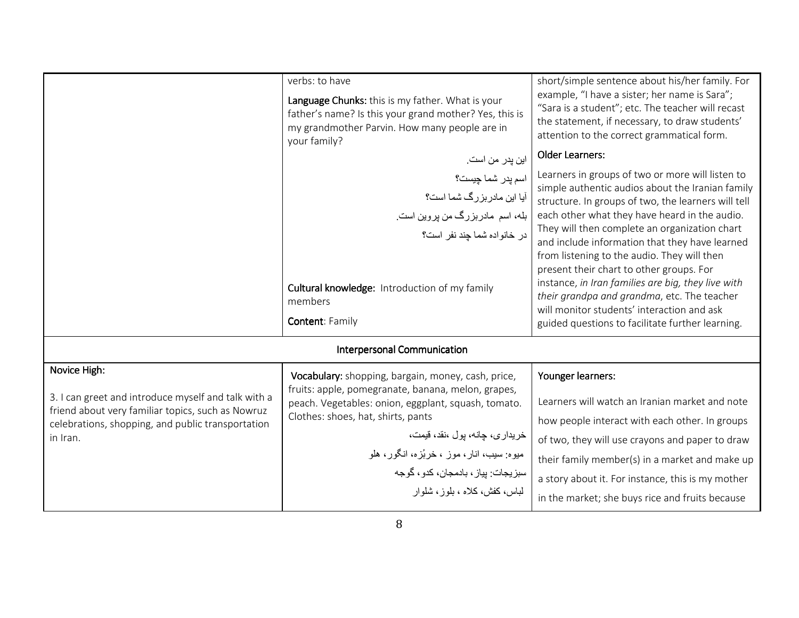|                                                                                                                                                               | verbs: to have<br>Language Chunks: this is my father. What is your<br>father's name? Is this your grand mother? Yes, this is<br>my grandmother Parvin. How many people are in<br>your family?    | short/simple sentence about his/her family. For<br>example, "I have a sister; her name is Sara";<br>"Sara is a student"; etc. The teacher will recast<br>the statement, if necessary, to draw students'<br>attention to the correct grammatical form.                                                                                                                                                                                                                                                                                                                                                             |
|---------------------------------------------------------------------------------------------------------------------------------------------------------------|--------------------------------------------------------------------------------------------------------------------------------------------------------------------------------------------------|-------------------------------------------------------------------------------------------------------------------------------------------------------------------------------------------------------------------------------------------------------------------------------------------------------------------------------------------------------------------------------------------------------------------------------------------------------------------------------------------------------------------------------------------------------------------------------------------------------------------|
|                                                                                                                                                               | اين پدر من است.                                                                                                                                                                                  | <b>Older Learners:</b>                                                                                                                                                                                                                                                                                                                                                                                                                                                                                                                                                                                            |
|                                                                                                                                                               | اسم پدر شما چیست؟<br>آیا این مادر بزرگ شما است؟<br>بله، اسم مادربزرگ من پروین است.<br>در خانواده شما چند نفر است؟<br>Cultural knowledge: Introduction of my family<br>members<br>Content: Family | Learners in groups of two or more will listen to<br>simple authentic audios about the Iranian family<br>structure. In groups of two, the learners will tell<br>each other what they have heard in the audio.<br>They will then complete an organization chart<br>and include information that they have learned<br>from listening to the audio. They will then<br>present their chart to other groups. For<br>instance, in Iran families are big, they live with<br>their grandpa and grandma, etc. The teacher<br>will monitor students' interaction and ask<br>guided questions to facilitate further learning. |
|                                                                                                                                                               | <b>Interpersonal Communication</b>                                                                                                                                                               |                                                                                                                                                                                                                                                                                                                                                                                                                                                                                                                                                                                                                   |
| Novice High:                                                                                                                                                  | Vocabulary: shopping, bargain, money, cash, price,                                                                                                                                               | Younger learners:                                                                                                                                                                                                                                                                                                                                                                                                                                                                                                                                                                                                 |
| 3. I can greet and introduce myself and talk with a<br>friend about very familiar topics, such as Nowruz<br>celebrations, shopping, and public transportation | fruits: apple, pomegranate, banana, melon, grapes,<br>peach. Vegetables: onion, eggplant, squash, tomato.<br>Clothes: shoes, hat, shirts, pants                                                  | Learners will watch an Iranian market and note<br>how people interact with each other. In groups                                                                                                                                                                                                                                                                                                                                                                                                                                                                                                                  |
| in Iran.                                                                                                                                                      | خريداري، چانـه، پول ،نقد، قيمت،<br>میوه: سیب، انار، موز ، خربُزه، انگور، هلو                                                                                                                     | of two, they will use crayons and paper to draw                                                                                                                                                                                                                                                                                                                                                                                                                                                                                                                                                                   |
|                                                                                                                                                               | سبزيجات: پياز ، بادمجان، كدو ، گوجه                                                                                                                                                              | their family member(s) in a market and make up                                                                                                                                                                                                                                                                                                                                                                                                                                                                                                                                                                    |
|                                                                                                                                                               | لباس، كفش، كلاه ، بلوز ، شلو ار                                                                                                                                                                  | a story about it. For instance, this is my mother                                                                                                                                                                                                                                                                                                                                                                                                                                                                                                                                                                 |
|                                                                                                                                                               |                                                                                                                                                                                                  | in the market; she buys rice and fruits because                                                                                                                                                                                                                                                                                                                                                                                                                                                                                                                                                                   |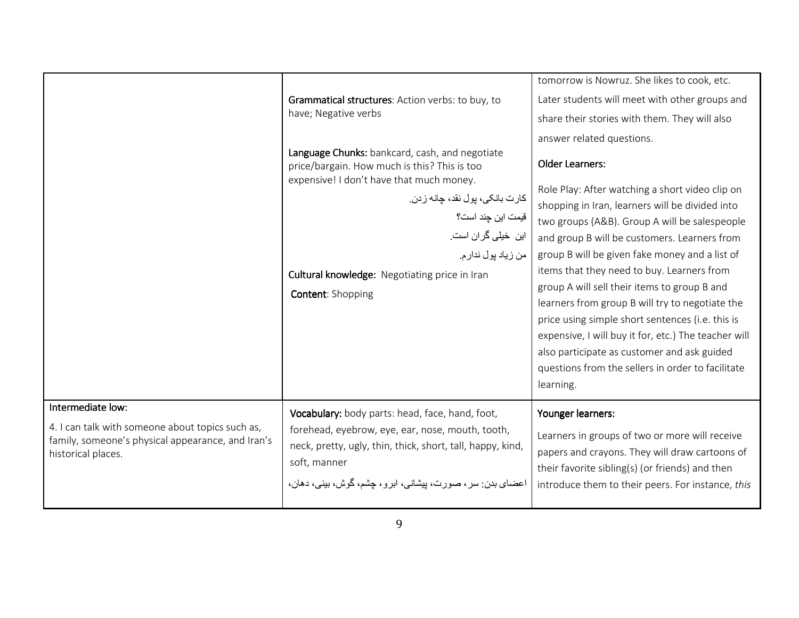|                                                                                                                                                  | Grammatical structures: Action verbs: to buy, to<br>have; Negative verbs<br>Language Chunks: bankcard, cash, and negotiate<br>price/bargain. How much is this? This is too<br>expensive! I don't have that much money.<br>كارت بانكي، پول نقد، چانه زدن.<br>قيمت اين چند است؟<br>این خیلی گران است.<br>من زياد پول ندار م.<br>Cultural knowledge: Negotiating price in Iran<br><b>Content: Shopping</b> | tomorrow is Nowruz. She likes to cook, etc.<br>Later students will meet with other groups and<br>share their stories with them. They will also<br>answer related questions.<br><b>Older Learners:</b><br>Role Play: After watching a short video clip on<br>shopping in Iran, learners will be divided into<br>two groups (A&B). Group A will be salespeople<br>and group B will be customers. Learners from<br>group B will be given fake money and a list of<br>items that they need to buy. Learners from<br>group A will sell their items to group B and<br>learners from group B will try to negotiate the<br>price using simple short sentences (i.e. this is<br>expensive, I will buy it for, etc.) The teacher will<br>also participate as customer and ask guided<br>questions from the sellers in order to facilitate<br>learning. |
|--------------------------------------------------------------------------------------------------------------------------------------------------|---------------------------------------------------------------------------------------------------------------------------------------------------------------------------------------------------------------------------------------------------------------------------------------------------------------------------------------------------------------------------------------------------------|----------------------------------------------------------------------------------------------------------------------------------------------------------------------------------------------------------------------------------------------------------------------------------------------------------------------------------------------------------------------------------------------------------------------------------------------------------------------------------------------------------------------------------------------------------------------------------------------------------------------------------------------------------------------------------------------------------------------------------------------------------------------------------------------------------------------------------------------|
| Intermediate low:<br>4. I can talk with someone about topics such as,<br>family, someone's physical appearance, and Iran's<br>historical places. | Vocabulary: body parts: head, face, hand, foot,<br>forehead, eyebrow, eye, ear, nose, mouth, tooth,<br>neck, pretty, ugly, thin, thick, short, tall, happy, kind,<br>soft, manner<br>اعضای بدن: سر ، صورت، بیشانی، ابرو ، چشم، گوش، بینی، دهان،                                                                                                                                                         | Younger learners:<br>Learners in groups of two or more will receive<br>papers and crayons. They will draw cartoons of<br>their favorite sibling(s) (or friends) and then<br>introduce them to their peers. For instance, this                                                                                                                                                                                                                                                                                                                                                                                                                                                                                                                                                                                                                |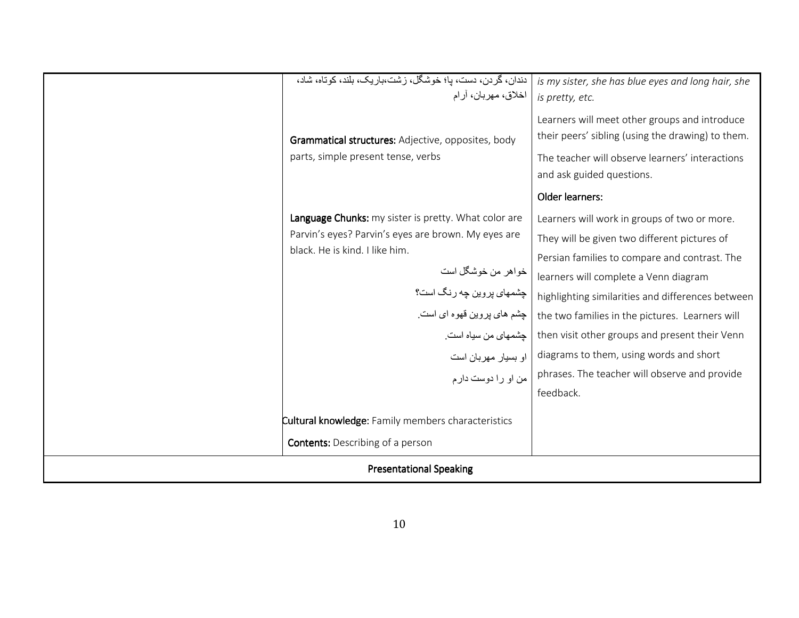| دندان، گردن، دست، پا؛ خوشکل، رشت،باریک، بلند، کوتاه، شاد،<br>is my sister, she has blue eyes and long hair, she |                                                                                                                                                                                                                                                                                                               |                                                                                                                                                                                                                                                                                                                                                                                                                                                           |  |  |
|-----------------------------------------------------------------------------------------------------------------|---------------------------------------------------------------------------------------------------------------------------------------------------------------------------------------------------------------------------------------------------------------------------------------------------------------|-----------------------------------------------------------------------------------------------------------------------------------------------------------------------------------------------------------------------------------------------------------------------------------------------------------------------------------------------------------------------------------------------------------------------------------------------------------|--|--|
|                                                                                                                 | اخلاق، مهربان، أرام                                                                                                                                                                                                                                                                                           | is pretty, etc.                                                                                                                                                                                                                                                                                                                                                                                                                                           |  |  |
|                                                                                                                 | Grammatical structures: Adjective, opposites, body                                                                                                                                                                                                                                                            | Learners will meet other groups and introduce<br>their peers' sibling (using the drawing) to them.                                                                                                                                                                                                                                                                                                                                                        |  |  |
|                                                                                                                 | parts, simple present tense, verbs                                                                                                                                                                                                                                                                            | The teacher will observe learners' interactions<br>and ask guided questions.                                                                                                                                                                                                                                                                                                                                                                              |  |  |
|                                                                                                                 |                                                                                                                                                                                                                                                                                                               | Older learners:                                                                                                                                                                                                                                                                                                                                                                                                                                           |  |  |
|                                                                                                                 | Language Chunks: my sister is pretty. What color are<br>Parvin's eyes? Parvin's eyes are brown. My eyes are<br>black. He is kind. I like him.<br>خواهر من خوشگل است<br>چشمهای پروین چه رنگ است؟<br>چشم های پروین قهوه ای است <sub>.</sub><br>چشمهای من سیاه است.<br>او بسيار مهربان است<br>من او را دوست دارم | Learners will work in groups of two or more.<br>They will be given two different pictures of<br>Persian families to compare and contrast. The<br>learners will complete a Venn diagram<br>highlighting similarities and differences between<br>the two families in the pictures. Learners will<br>then visit other groups and present their Venn<br>diagrams to them, using words and short<br>phrases. The teacher will observe and provide<br>feedback. |  |  |
| <b>Cultural knowledge:</b> Family members characteristics                                                       |                                                                                                                                                                                                                                                                                                               |                                                                                                                                                                                                                                                                                                                                                                                                                                                           |  |  |
|                                                                                                                 | <b>Contents:</b> Describing of a person                                                                                                                                                                                                                                                                       |                                                                                                                                                                                                                                                                                                                                                                                                                                                           |  |  |
|                                                                                                                 | <b>Presentational Speaking</b>                                                                                                                                                                                                                                                                                |                                                                                                                                                                                                                                                                                                                                                                                                                                                           |  |  |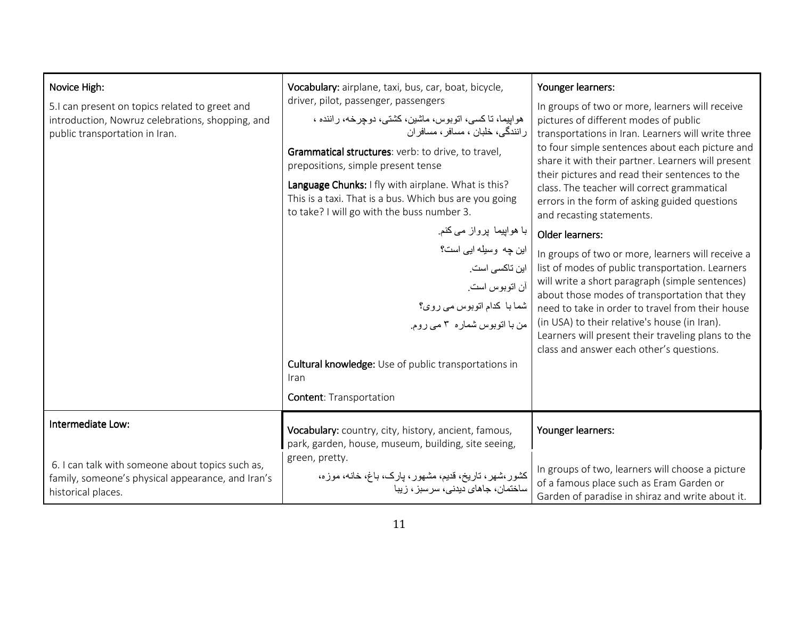| Novice High:<br>5.I can present on topics related to greet and<br>introduction, Nowruz celebrations, shopping, and<br>public transportation in Iran. | Vocabulary: airplane, taxi, bus, car, boat, bicycle,<br>driver, pilot, passenger, passengers<br>هواپیما، تاکسی، اتوبوس، ماشین، کشتی، دوجرخه، راننده ،<br>ر انندگی، خلبان ، مسافر ، مسافر ان<br>Grammatical structures: verb: to drive, to travel,<br>prepositions, simple present tense<br>Language Chunks: I fly with airplane. What is this?<br>This is a taxi. That is a bus. Which bus are you going<br>to take? I will go with the buss number 3.<br>با ہواپیما  پرواز می کنم ِ<br>این چه وسیله ایی است؟<br>این تاکسی است.<br>أن انوبوس است <sub>.</sub><br>شما با كدام اتوبوس مى روى؟<br>من با انوبوس شماره ٣ مي روم.<br>Cultural knowledge: Use of public transportations in<br>Iran<br><b>Content: Transportation</b> | Younger learners:<br>In groups of two or more, learners will receive<br>pictures of different modes of public<br>transportations in Iran. Learners will write three<br>to four simple sentences about each picture and<br>share it with their partner. Learners will present<br>their pictures and read their sentences to the<br>class. The teacher will correct grammatical<br>errors in the form of asking guided questions<br>and recasting statements.<br>Older learners:<br>In groups of two or more, learners will receive a<br>list of modes of public transportation. Learners<br>will write a short paragraph (simple sentences)<br>about those modes of transportation that they<br>need to take in order to travel from their house<br>(in USA) to their relative's house (in Iran).<br>Learners will present their traveling plans to the<br>class and answer each other's questions. |
|------------------------------------------------------------------------------------------------------------------------------------------------------|-------------------------------------------------------------------------------------------------------------------------------------------------------------------------------------------------------------------------------------------------------------------------------------------------------------------------------------------------------------------------------------------------------------------------------------------------------------------------------------------------------------------------------------------------------------------------------------------------------------------------------------------------------------------------------------------------------------------------------|----------------------------------------------------------------------------------------------------------------------------------------------------------------------------------------------------------------------------------------------------------------------------------------------------------------------------------------------------------------------------------------------------------------------------------------------------------------------------------------------------------------------------------------------------------------------------------------------------------------------------------------------------------------------------------------------------------------------------------------------------------------------------------------------------------------------------------------------------------------------------------------------------|
| Intermediate Low:                                                                                                                                    | Vocabulary: country, city, history, ancient, famous,<br>park, garden, house, museum, building, site seeing,                                                                                                                                                                                                                                                                                                                                                                                                                                                                                                                                                                                                                   | Younger learners:                                                                                                                                                                                                                                                                                                                                                                                                                                                                                                                                                                                                                                                                                                                                                                                                                                                                                  |
| 6. I can talk with someone about topics such as,<br>family, someone's physical appearance, and Iran's<br>historical places.                          | green, pretty.<br>کشور،شهر، تاریخ، قدیم، مشهور، پارک، باغ، خانه، موزه،<br>ساختمان، جاهای دیدنی، سرسبز، زیبا                                                                                                                                                                                                                                                                                                                                                                                                                                                                                                                                                                                                                   | In groups of two, learners will choose a picture<br>of a famous place such as Eram Garden or<br>Garden of paradise in shiraz and write about it.                                                                                                                                                                                                                                                                                                                                                                                                                                                                                                                                                                                                                                                                                                                                                   |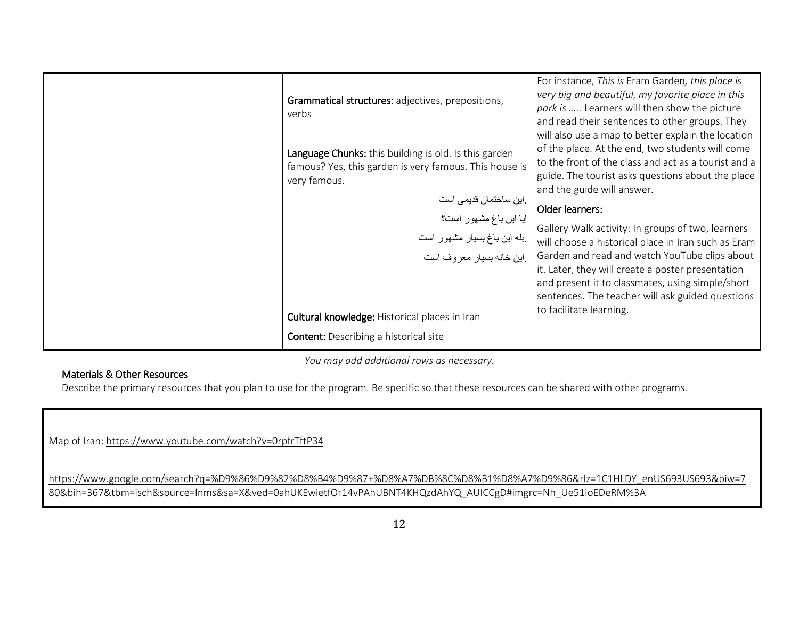| Grammatical structures: adjectives, prepositions,<br>verbs                                                                      | For instance, This is Eram Garden, this place is<br>very big and beautiful, my favorite place in this<br>park is  Learners will then show the picture<br>and read their sentences to other groups. They                                           |
|---------------------------------------------------------------------------------------------------------------------------------|---------------------------------------------------------------------------------------------------------------------------------------------------------------------------------------------------------------------------------------------------|
| Language Chunks: this building is old. Is this garden<br>famous? Yes, this garden is very famous. This house is<br>very famous. | will also use a map to better explain the location<br>of the place. At the end, two students will come<br>to the front of the class and act as a tourist and a<br>guide. The tourist asks questions about the place<br>and the guide will answer. |
|                                                                                                                                 | Older learners:                                                                                                                                                                                                                                   |
| .این ساختمان قدیمی است<br>آیا این باغ مشهور است؟<br>بله این باغ بسیار مشهور است<br>.این خانه بسیار معروف است                    | Gallery Walk activity: In groups of two, learners<br>will choose a historical place in Iran such as Eram                                                                                                                                          |
|                                                                                                                                 | Garden and read and watch YouTube clips about<br>it. Later, they will create a poster presentation<br>and present it to classmates, using simple/short<br>sentences. The teacher will ask guided questions<br>to facilitate learning.             |
| <b>Cultural knowledge: Historical places in Iran</b>                                                                            |                                                                                                                                                                                                                                                   |
| <b>Content:</b> Describing a historical site                                                                                    |                                                                                                                                                                                                                                                   |

You may add additional rows as necessary.

### Materials & Other Resources

Describe the primary resources that you plan to use for the program. Be specific so that these resources can be shared with other programs.

Map of Iran: https://www.youtube.com/watch?v=0rpfrTftP34

https://www.google.com/search?q=%D9%86%D9%82%D8%B4%D9%87+%D8%A7%DB%8C%D8%B1%D8%A7%D9%86&rlz=1C1HLDY\_enUS693US693&biw=7 80&bih=367&tbm=isch&source=lnms&sa=X&ved=0ahUKEwietfOr14vPAhUBNT4KHQzdAhYQ\_AUICCgD#imgrc=Nh\_Ue51ioEDeRM%3A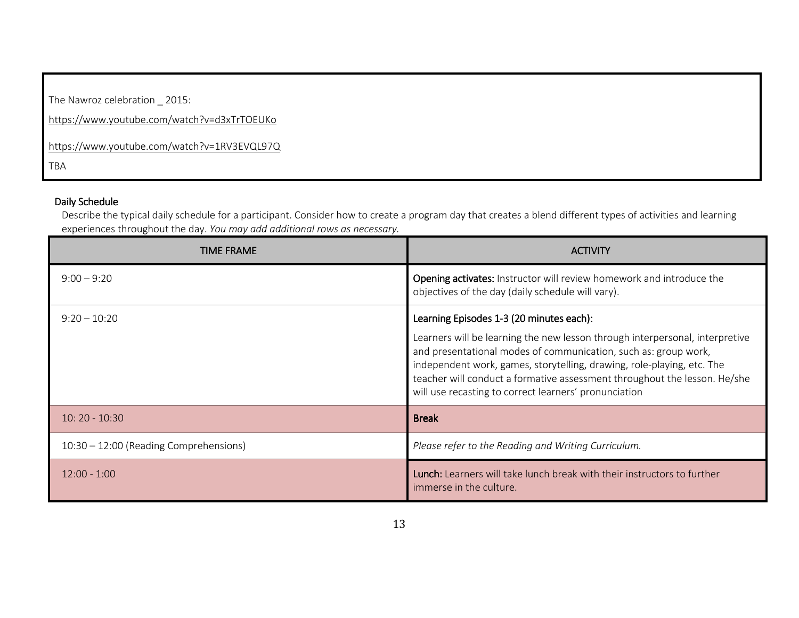The Nawroz celebration \_ 2015:

https://www.youtube.com/watch?v=d3xTrTOEUKo

https://www.youtube.com/watch?v=1RV3EVQL97Q

TBA

### Daily Schedule

 Describe the typical daily schedule for a participant. Consider how to create a program day that creates a blend different types of activities and learning experiences throughout the day. You may add additional rows as necessary.

| TIME FRAME                               | <b>ACTIVITY</b>                                                                                                                                                                                                                                                                                                                                                                                             |
|------------------------------------------|-------------------------------------------------------------------------------------------------------------------------------------------------------------------------------------------------------------------------------------------------------------------------------------------------------------------------------------------------------------------------------------------------------------|
| $9:00 - 9:20$                            | Opening activates: Instructor will review homework and introduce the<br>objectives of the day (daily schedule will vary).                                                                                                                                                                                                                                                                                   |
| $9:20 - 10:20$                           | Learning Episodes 1-3 (20 minutes each):<br>Learners will be learning the new lesson through interpersonal, interpretive<br>and presentational modes of communication, such as: group work,<br>independent work, games, storytelling, drawing, role-playing, etc. The<br>teacher will conduct a formative assessment throughout the lesson. He/she<br>will use recasting to correct learners' pronunciation |
| $10:20 - 10:30$                          | <b>Break</b>                                                                                                                                                                                                                                                                                                                                                                                                |
| $10:30 - 12:00$ (Reading Comprehensions) | Please refer to the Reading and Writing Curriculum.                                                                                                                                                                                                                                                                                                                                                         |
| $12:00 - 1:00$                           | <b>Lunch:</b> Learners will take lunch break with their instructors to further<br>immerse in the culture.                                                                                                                                                                                                                                                                                                   |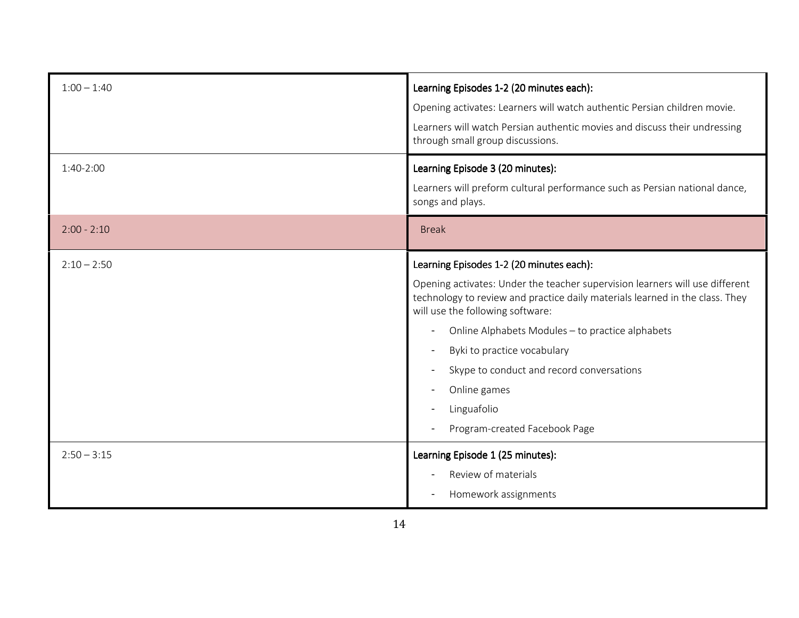| $1:00 - 1:40$ | Learning Episodes 1-2 (20 minutes each):<br>Opening activates: Learners will watch authentic Persian children movie.<br>Learners will watch Persian authentic movies and discuss their undressing<br>through small group discussions.                                                                                                                                                                                                        |
|---------------|----------------------------------------------------------------------------------------------------------------------------------------------------------------------------------------------------------------------------------------------------------------------------------------------------------------------------------------------------------------------------------------------------------------------------------------------|
| $1:40-2:00$   | Learning Episode 3 (20 minutes):<br>Learners will preform cultural performance such as Persian national dance,<br>songs and plays.                                                                                                                                                                                                                                                                                                           |
| $2:00 - 2:10$ | <b>Break</b>                                                                                                                                                                                                                                                                                                                                                                                                                                 |
| $2:10 - 2:50$ | Learning Episodes 1-2 (20 minutes each):<br>Opening activates: Under the teacher supervision learners will use different<br>technology to review and practice daily materials learned in the class. They<br>will use the following software:<br>Online Alphabets Modules - to practice alphabets<br>Byki to practice vocabulary<br>Skype to conduct and record conversations<br>Online games<br>Linguafolio<br>Program-created Facebook Page |
| $2:50 - 3:15$ | Learning Episode 1 (25 minutes):<br>Review of materials<br>Homework assignments                                                                                                                                                                                                                                                                                                                                                              |